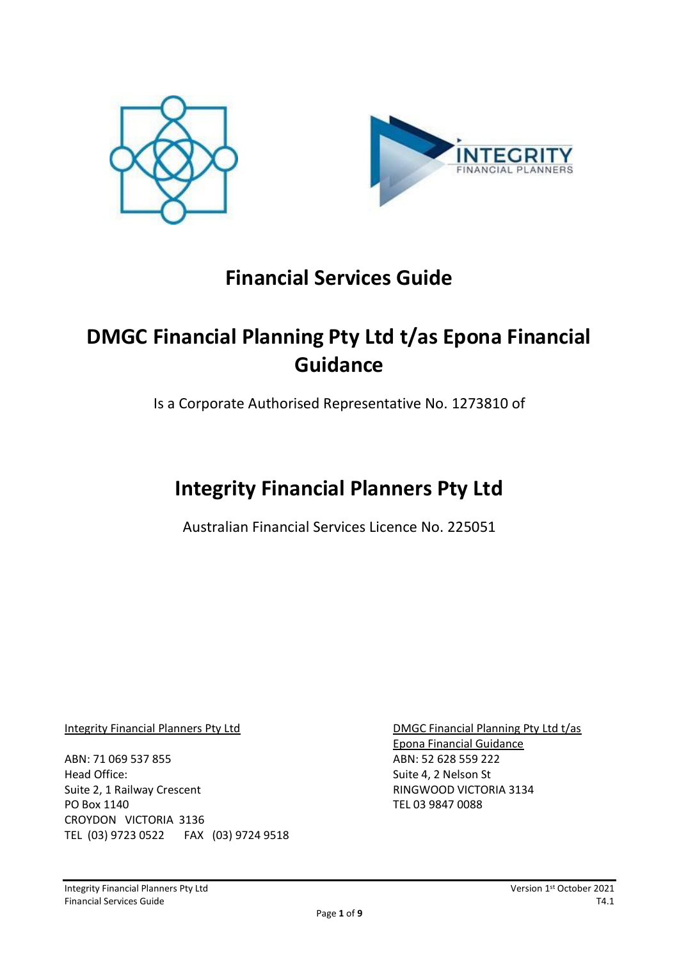



# **Financial Services Guide**

# **DMGC Financial Planning Pty Ltd t/as Epona Financial Guidance**

Is a Corporate Authorised Representative No. 1273810 of

# **Integrity Financial Planners Pty Ltd**

Australian Financial Services Licence No. 225051

ABN: 71 069 537 855 ABN: 52 628 559 222 Head Office: Suite 4, 2 Nelson St Suite 2, 1 Railway Crescent **RINGWOOD VICTORIA 3134** PO Box 1140 TEL 03 9847 0088 CROYDON VICTORIA 3136 TEL (03) 9723 0522 FAX (03) 9724 9518

Integrity Financial Planners Pty Ltd **DMGC Financial Planning Pty Ltd t/as** Epona Financial Guidance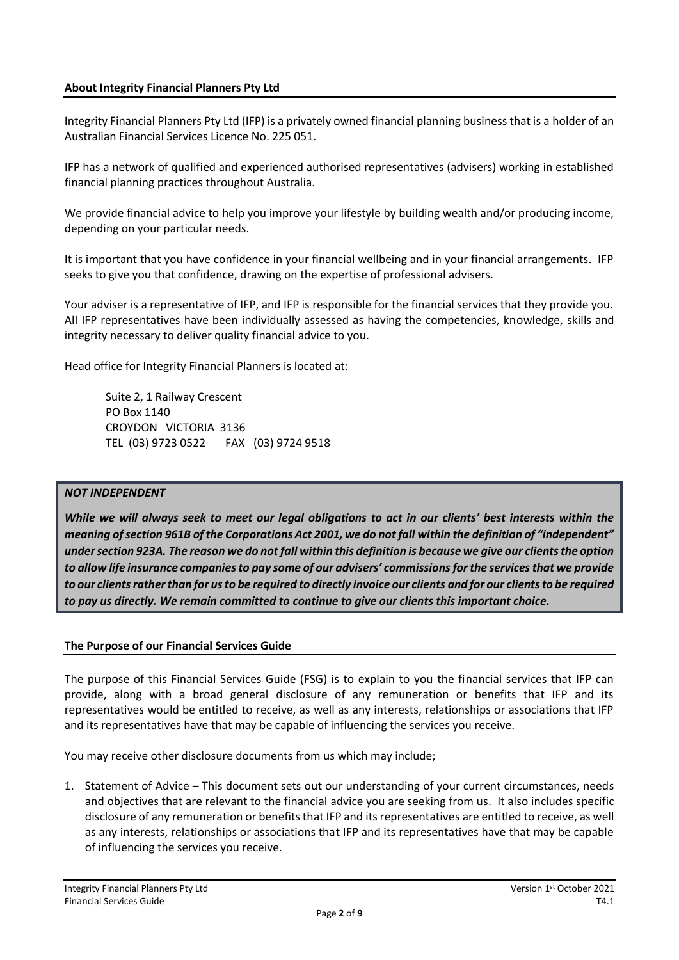# **About Integrity Financial Planners Pty Ltd**

Integrity Financial Planners Pty Ltd (IFP) is a privately owned financial planning business that is a holder of an Australian Financial Services Licence No. 225 051.

IFP has a network of qualified and experienced authorised representatives (advisers) working in established financial planning practices throughout Australia.

We provide financial advice to help you improve your lifestyle by building wealth and/or producing income, depending on your particular needs.

It is important that you have confidence in your financial wellbeing and in your financial arrangements. IFP seeks to give you that confidence, drawing on the expertise of professional advisers.

Your adviser is a representative of IFP, and IFP is responsible for the financial services that they provide you. All IFP representatives have been individually assessed as having the competencies, knowledge, skills and integrity necessary to deliver quality financial advice to you.

Head office for Integrity Financial Planners is located at:

Suite 2, 1 Railway Crescent PO Box 1140 CROYDON VICTORIA 3136 TEL (03) 9723 0522 FAX (03) 9724 9518

#### *NOT INDEPENDENT*

*While we will always seek to meet our legal obligations to act in our clients' best interests within the meaning of section 961B of the Corporations Act 2001, we do not fall within the definition of "independent" under section 923A. The reason we do not fall within this definition is because we give our clients the option to allow life insurance companies to pay some of our advisers' commissions for the services that we provide to our clients rather than for us to be required to directly invoice our clients and for our clients to be required to pay us directly. We remain committed to continue to give our clients this important choice.* 

#### **The Purpose of our Financial Services Guide**

The purpose of this Financial Services Guide (FSG) is to explain to you the financial services that IFP can provide, along with a broad general disclosure of any remuneration or benefits that IFP and its representatives would be entitled to receive, as well as any interests, relationships or associations that IFP and its representatives have that may be capable of influencing the services you receive.

You may receive other disclosure documents from us which may include;

1. Statement of Advice – This document sets out our understanding of your current circumstances, needs and objectives that are relevant to the financial advice you are seeking from us. It also includes specific disclosure of any remuneration or benefits that IFP and its representatives are entitled to receive, as well as any interests, relationships or associations that IFP and its representatives have that may be capable of influencing the services you receive.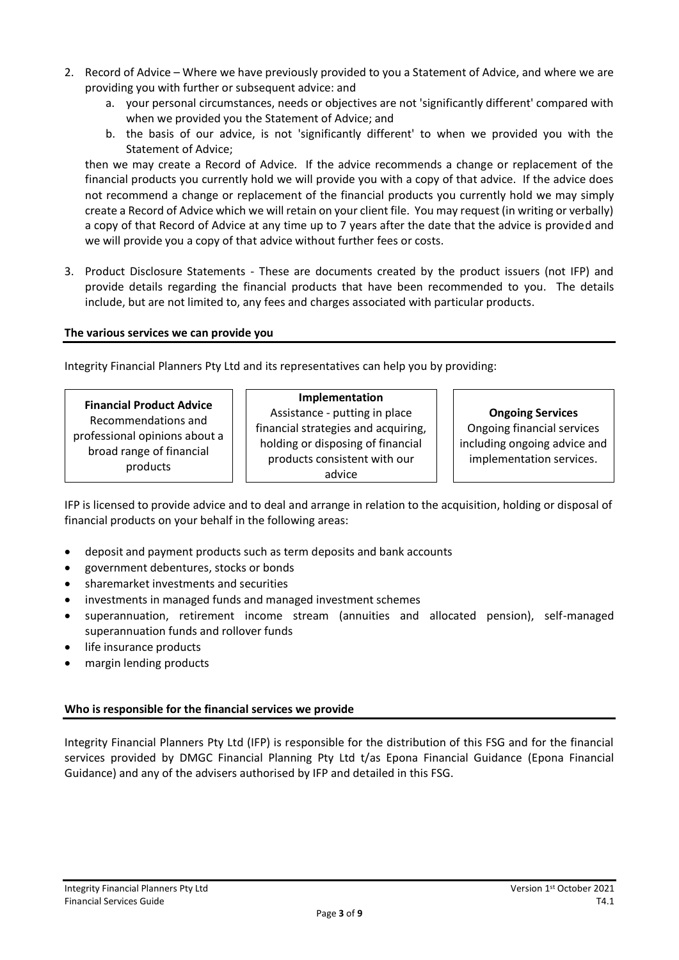- 2. Record of Advice Where we have previously provided to you a Statement of Advice, and where we are providing you with further or subsequent advice: and
	- a. your personal circumstances, needs or objectives are not 'significantly different' compared with when we provided you the Statement of Advice; and
	- b. the basis of our advice, is not 'significantly different' to when we provided you with the Statement of Advice;

then we may create a Record of Advice. If the advice recommends a change or replacement of the financial products you currently hold we will provide you with a copy of that advice. If the advice does not recommend a change or replacement of the financial products you currently hold we may simply create a Record of Advice which we will retain on your client file. You may request (in writing or verbally) a copy of that Record of Advice at any time up to 7 years after the date that the advice is provided and we will provide you a copy of that advice without further fees or costs.

3. Product Disclosure Statements - These are documents created by the product issuers (not IFP) and provide details regarding the financial products that have been recommended to you. The details include, but are not limited to, any fees and charges associated with particular products.

# **The various services we can provide you**

Integrity Financial Planners Pty Ltd and its representatives can help you by providing:

| <b>Financial Product Advice</b> |
|---------------------------------|
| Recommendations and             |
| professional opinions about a   |
| broad range of financial        |
| products                        |

#### **Implementation**

Assistance - putting in place financial strategies and acquiring, holding or disposing of financial products consistent with our advice

# **Ongoing Services**

Ongoing financial services including ongoing advice and implementation services.

IFP is licensed to provide advice and to deal and arrange in relation to the acquisition, holding or disposal of financial products on your behalf in the following areas:

- deposit and payment products such as term deposits and bank accounts
- government debentures, stocks or bonds
- sharemarket investments and securities
- investments in managed funds and managed investment schemes
- superannuation, retirement income stream (annuities and allocated pension), self-managed superannuation funds and rollover funds
- life insurance products
- margin lending products

# **Who is responsible for the financial services we provide**

Integrity Financial Planners Pty Ltd (IFP) is responsible for the distribution of this FSG and for the financial services provided by DMGC Financial Planning Pty Ltd t/as Epona Financial Guidance (Epona Financial Guidance) and any of the advisers authorised by IFP and detailed in this FSG.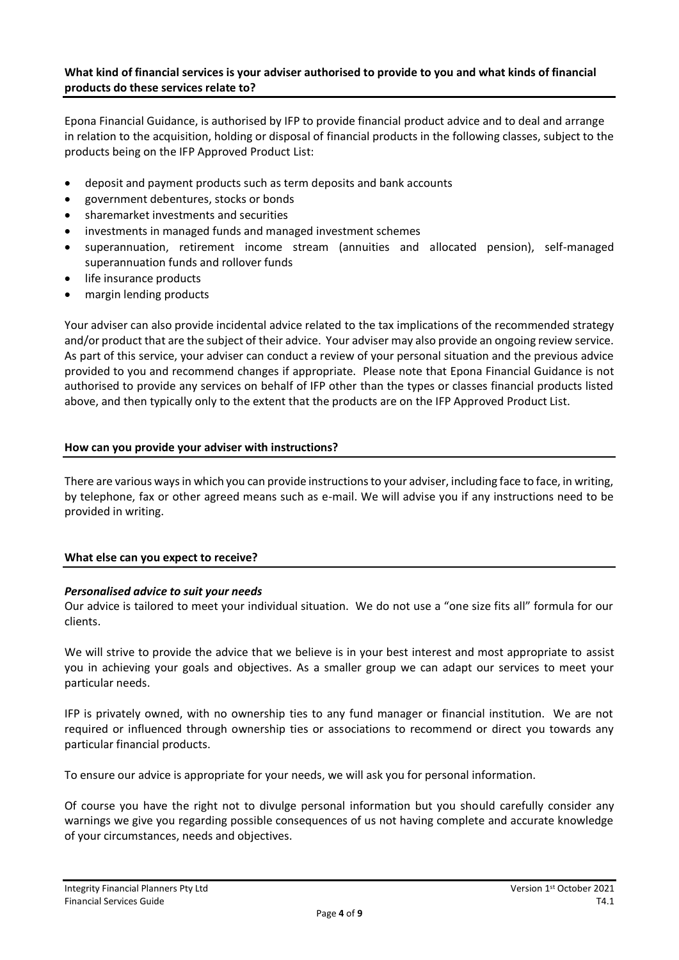# **What kind of financial services is your adviser authorised to provide to you and what kinds of financial products do these services relate to?**

Epona Financial Guidance, is authorised by IFP to provide financial product advice and to deal and arrange in relation to the acquisition, holding or disposal of financial products in the following classes, subject to the products being on the IFP Approved Product List:

- deposit and payment products such as term deposits and bank accounts
- government debentures, stocks or bonds
- sharemarket investments and securities
- investments in managed funds and managed investment schemes
- superannuation, retirement income stream (annuities and allocated pension), self-managed superannuation funds and rollover funds
- life insurance products
- margin lending products

Your adviser can also provide incidental advice related to the tax implications of the recommended strategy and/or product that are the subject of their advice. Your adviser may also provide an ongoing review service. As part of this service, your adviser can conduct a review of your personal situation and the previous advice provided to you and recommend changes if appropriate. Please note that Epona Financial Guidance is not authorised to provide any services on behalf of IFP other than the types or classes financial products listed above, and then typically only to the extent that the products are on the IFP Approved Product List.

# **How can you provide your adviser with instructions?**

There are various ways in which you can provide instructions to your adviser, including face to face, in writing, by telephone, fax or other agreed means such as e-mail. We will advise you if any instructions need to be provided in writing.

#### **What else can you expect to receive?**

# *Personalised advice to suit your needs*

Our advice is tailored to meet your individual situation. We do not use a "one size fits all" formula for our clients.

We will strive to provide the advice that we believe is in your best interest and most appropriate to assist you in achieving your goals and objectives. As a smaller group we can adapt our services to meet your particular needs.

IFP is privately owned, with no ownership ties to any fund manager or financial institution. We are not required or influenced through ownership ties or associations to recommend or direct you towards any particular financial products.

To ensure our advice is appropriate for your needs, we will ask you for personal information.

Of course you have the right not to divulge personal information but you should carefully consider any warnings we give you regarding possible consequences of us not having complete and accurate knowledge of your circumstances, needs and objectives.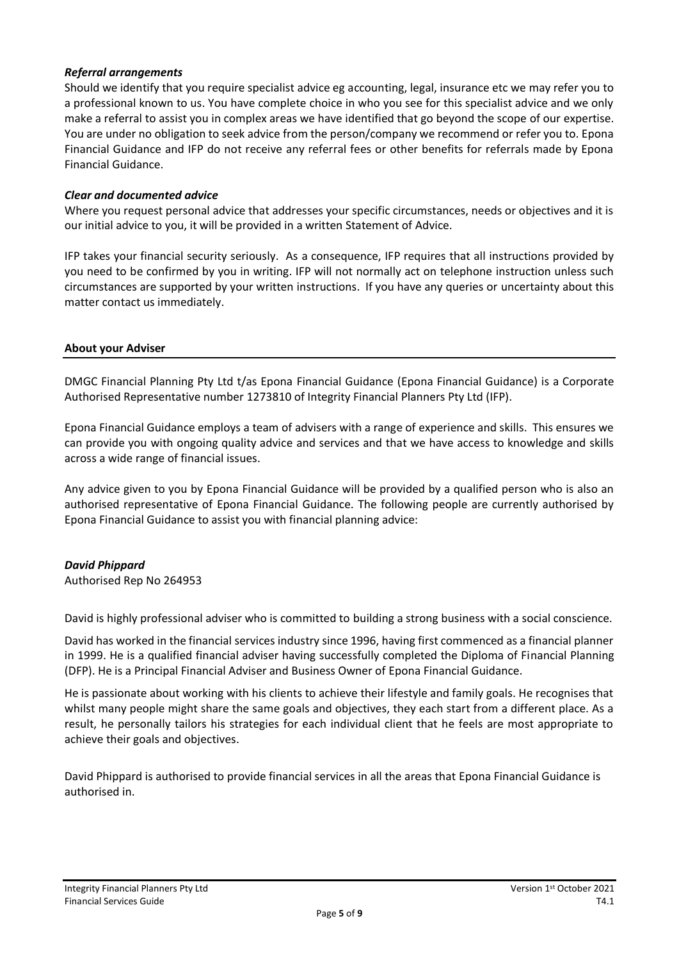### *Referral arrangements*

Should we identify that you require specialist advice eg accounting, legal, insurance etc we may refer you to a professional known to us. You have complete choice in who you see for this specialist advice and we only make a referral to assist you in complex areas we have identified that go beyond the scope of our expertise. You are under no obligation to seek advice from the person/company we recommend or refer you to. Epona Financial Guidance and IFP do not receive any referral fees or other benefits for referrals made by Epona Financial Guidance.

#### *Clear and documented advice*

Where you request personal advice that addresses your specific circumstances, needs or objectives and it is our initial advice to you, it will be provided in a written Statement of Advice.

IFP takes your financial security seriously. As a consequence, IFP requires that all instructions provided by you need to be confirmed by you in writing. IFP will not normally act on telephone instruction unless such circumstances are supported by your written instructions. If you have any queries or uncertainty about this matter contact us immediately.

#### **About your Adviser**

DMGC Financial Planning Pty Ltd t/as Epona Financial Guidance (Epona Financial Guidance) is a Corporate Authorised Representative number 1273810 of Integrity Financial Planners Pty Ltd (IFP).

Epona Financial Guidance employs a team of advisers with a range of experience and skills. This ensures we can provide you with ongoing quality advice and services and that we have access to knowledge and skills across a wide range of financial issues.

Any advice given to you by Epona Financial Guidance will be provided by a qualified person who is also an authorised representative of Epona Financial Guidance. The following people are currently authorised by Epona Financial Guidance to assist you with financial planning advice:

# *David Phippard*

Authorised Rep No 264953

David is highly professional adviser who is committed to building a strong business with a social conscience.

David has worked in the financial services industry since 1996, having first commenced as a financial planner in 1999. He is a qualified financial adviser having successfully completed the Diploma of Financial Planning (DFP). He is a Principal Financial Adviser and Business Owner of Epona Financial Guidance.

He is passionate about working with his clients to achieve their lifestyle and family goals. He recognises that whilst many people might share the same goals and objectives, they each start from a different place. As a result, he personally tailors his strategies for each individual client that he feels are most appropriate to achieve their goals and objectives.

David Phippard is authorised to provide financial services in all the areas that Epona Financial Guidance is authorised in.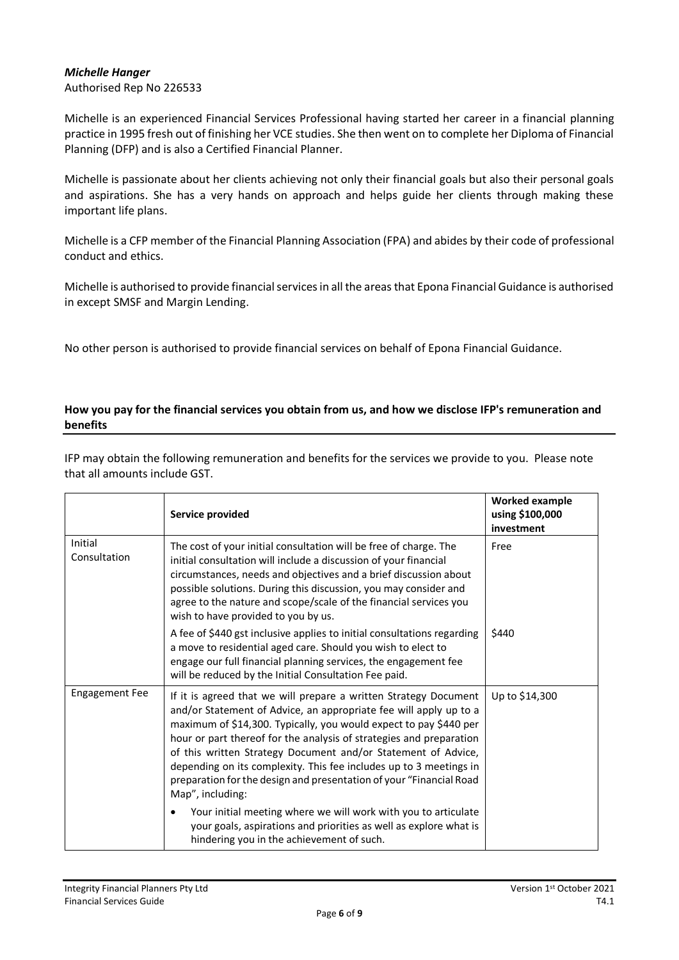### *Michelle Hanger*

Authorised Rep No 226533

Michelle is an experienced Financial Services Professional having started her career in a financial planning practice in 1995 fresh out of finishing her VCE studies. She then went on to complete her Diploma of Financial Planning (DFP) and is also a Certified Financial Planner.

Michelle is passionate about her clients achieving not only their financial goals but also their personal goals and aspirations. She has a very hands on approach and helps guide her clients through making these important life plans.

Michelle is a CFP member of the Financial Planning Association (FPA) and abides by their code of professional conduct and ethics.

Michelle is authorised to provide financial services in all the areas that Epona Financial Guidance is authorised in except SMSF and Margin Lending.

No other person is authorised to provide financial services on behalf of Epona Financial Guidance.

#### **How you pay for the financial services you obtain from us, and how we disclose IFP's remuneration and benefits**

IFP may obtain the following remuneration and benefits for the services we provide to you. Please note that all amounts include GST.

|                         | Service provided                                                                                                                                                                                                                                                                                                                                                                                                                                                                                                    | <b>Worked example</b><br>using \$100,000<br>investment |
|-------------------------|---------------------------------------------------------------------------------------------------------------------------------------------------------------------------------------------------------------------------------------------------------------------------------------------------------------------------------------------------------------------------------------------------------------------------------------------------------------------------------------------------------------------|--------------------------------------------------------|
| Initial<br>Consultation | The cost of your initial consultation will be free of charge. The<br>initial consultation will include a discussion of your financial<br>circumstances, needs and objectives and a brief discussion about<br>possible solutions. During this discussion, you may consider and<br>agree to the nature and scope/scale of the financial services you<br>wish to have provided to you by us.                                                                                                                           | Free                                                   |
|                         | A fee of \$440 gst inclusive applies to initial consultations regarding<br>a move to residential aged care. Should you wish to elect to<br>engage our full financial planning services, the engagement fee<br>will be reduced by the Initial Consultation Fee paid.                                                                                                                                                                                                                                                 | \$440                                                  |
| <b>Engagement Fee</b>   | If it is agreed that we will prepare a written Strategy Document<br>and/or Statement of Advice, an appropriate fee will apply up to a<br>maximum of \$14,300. Typically, you would expect to pay \$440 per<br>hour or part thereof for the analysis of strategies and preparation<br>of this written Strategy Document and/or Statement of Advice,<br>depending on its complexity. This fee includes up to 3 meetings in<br>preparation for the design and presentation of your "Financial Road<br>Map", including: | Up to \$14,300                                         |
|                         | Your initial meeting where we will work with you to articulate<br>your goals, aspirations and priorities as well as explore what is<br>hindering you in the achievement of such.                                                                                                                                                                                                                                                                                                                                    |                                                        |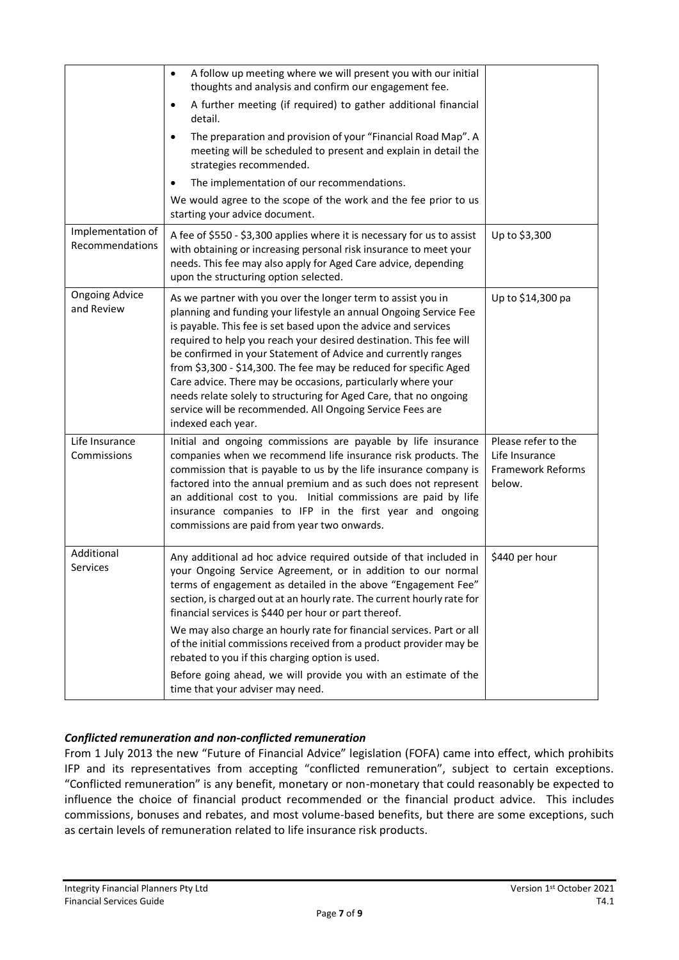|                                      | A follow up meeting where we will present you with our initial<br>$\bullet$<br>thoughts and analysis and confirm our engagement fee.                                                                                                                                                                                                                                                                                                                                                                                                                                                                                                    |                                                                      |
|--------------------------------------|-----------------------------------------------------------------------------------------------------------------------------------------------------------------------------------------------------------------------------------------------------------------------------------------------------------------------------------------------------------------------------------------------------------------------------------------------------------------------------------------------------------------------------------------------------------------------------------------------------------------------------------------|----------------------------------------------------------------------|
|                                      | A further meeting (if required) to gather additional financial<br>٠<br>detail.                                                                                                                                                                                                                                                                                                                                                                                                                                                                                                                                                          |                                                                      |
|                                      | The preparation and provision of your "Financial Road Map". A<br>٠<br>meeting will be scheduled to present and explain in detail the<br>strategies recommended.                                                                                                                                                                                                                                                                                                                                                                                                                                                                         |                                                                      |
|                                      | The implementation of our recommendations.                                                                                                                                                                                                                                                                                                                                                                                                                                                                                                                                                                                              |                                                                      |
|                                      | We would agree to the scope of the work and the fee prior to us<br>starting your advice document.                                                                                                                                                                                                                                                                                                                                                                                                                                                                                                                                       |                                                                      |
| Implementation of<br>Recommendations | A fee of \$550 - \$3,300 applies where it is necessary for us to assist<br>with obtaining or increasing personal risk insurance to meet your<br>needs. This fee may also apply for Aged Care advice, depending<br>upon the structuring option selected.                                                                                                                                                                                                                                                                                                                                                                                 | Up to \$3,300                                                        |
| <b>Ongoing Advice</b><br>and Review  | As we partner with you over the longer term to assist you in<br>planning and funding your lifestyle an annual Ongoing Service Fee<br>is payable. This fee is set based upon the advice and services<br>required to help you reach your desired destination. This fee will<br>be confirmed in your Statement of Advice and currently ranges<br>from \$3,300 - \$14,300. The fee may be reduced for specific Aged<br>Care advice. There may be occasions, particularly where your<br>needs relate solely to structuring for Aged Care, that no ongoing<br>service will be recommended. All Ongoing Service Fees are<br>indexed each year. | Up to \$14,300 pa                                                    |
| Life Insurance<br>Commissions        | Initial and ongoing commissions are payable by life insurance<br>companies when we recommend life insurance risk products. The<br>commission that is payable to us by the life insurance company is<br>factored into the annual premium and as such does not represent<br>an additional cost to you. Initial commissions are paid by life<br>insurance companies to IFP in the first year and ongoing<br>commissions are paid from year two onwards.                                                                                                                                                                                    | Please refer to the<br>Life Insurance<br>Framework Reforms<br>below. |
| Additional<br>Services               | Any additional ad hoc advice required outside of that included in<br>your Ongoing Service Agreement, or in addition to our normal<br>terms of engagement as detailed in the above "Engagement Fee"<br>section, is charged out at an hourly rate. The current hourly rate for<br>financial services is \$440 per hour or part thereof.<br>We may also charge an hourly rate for financial services. Part or all<br>of the initial commissions received from a product provider may be                                                                                                                                                    | \$440 per hour                                                       |
|                                      | rebated to you if this charging option is used.<br>Before going ahead, we will provide you with an estimate of the<br>time that your adviser may need.                                                                                                                                                                                                                                                                                                                                                                                                                                                                                  |                                                                      |

# *Conflicted remuneration and non-conflicted remuneration*

From 1 July 2013 the new "Future of Financial Advice" legislation (FOFA) came into effect, which prohibits IFP and its representatives from accepting "conflicted remuneration", subject to certain exceptions. "Conflicted remuneration" is any benefit, monetary or non-monetary that could reasonably be expected to influence the choice of financial product recommended or the financial product advice. This includes commissions, bonuses and rebates, and most volume-based benefits, but there are some exceptions, such as certain levels of remuneration related to life insurance risk products.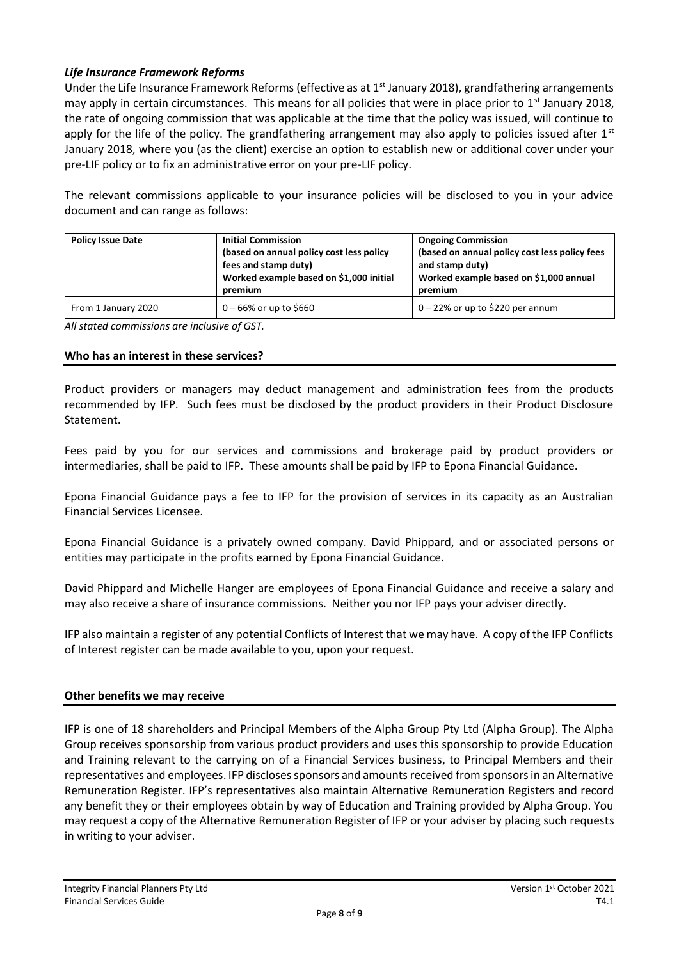# *Life Insurance Framework Reforms*

Under the Life Insurance Framework Reforms (effective as at 1<sup>st</sup> January 2018), grandfathering arrangements may apply in certain circumstances. This means for all policies that were in place prior to 1<sup>st</sup> January 2018, the rate of ongoing commission that was applicable at the time that the policy was issued, will continue to apply for the life of the policy. The grandfathering arrangement may also apply to policies issued after  $1<sup>st</sup>$ January 2018, where you (as the client) exercise an option to establish new or additional cover under your pre-LIF policy or to fix an administrative error on your pre-LIF policy.

The relevant commissions applicable to your insurance policies will be disclosed to you in your advice document and can range as follows:

| <b>Policy Issue Date</b> | <b>Initial Commission</b><br>(based on annual policy cost less policy<br>fees and stamp duty)<br>Worked example based on \$1,000 initial<br>premium | <b>Ongoing Commission</b><br>(based on annual policy cost less policy fees<br>and stamp duty)<br>Worked example based on \$1,000 annual<br>premium |
|--------------------------|-----------------------------------------------------------------------------------------------------------------------------------------------------|----------------------------------------------------------------------------------------------------------------------------------------------------|
| From 1 January 2020      | $0 - 66\%$ or up to \$660                                                                                                                           | $0 - 22\%$ or up to \$220 per annum                                                                                                                |

*All stated commissions are inclusive of GST.*

#### **Who has an interest in these services?**

Product providers or managers may deduct management and administration fees from the products recommended by IFP. Such fees must be disclosed by the product providers in their Product Disclosure Statement.

Fees paid by you for our services and commissions and brokerage paid by product providers or intermediaries, shall be paid to IFP. These amounts shall be paid by IFP to Epona Financial Guidance.

Epona Financial Guidance pays a fee to IFP for the provision of services in its capacity as an Australian Financial Services Licensee.

Epona Financial Guidance is a privately owned company. David Phippard, and or associated persons or entities may participate in the profits earned by Epona Financial Guidance.

David Phippard and Michelle Hanger are employees of Epona Financial Guidance and receive a salary and may also receive a share of insurance commissions. Neither you nor IFP pays your adviser directly.

IFP also maintain a register of any potential Conflicts of Interest that we may have. A copy of the IFP Conflicts of Interest register can be made available to you, upon your request.

#### **Other benefits we may receive**

IFP is one of 18 shareholders and Principal Members of the Alpha Group Pty Ltd (Alpha Group). The Alpha Group receives sponsorship from various product providers and uses this sponsorship to provide Education and Training relevant to the carrying on of a Financial Services business, to Principal Members and their representatives and employees. IFP discloses sponsors and amounts received from sponsors in an Alternative Remuneration Register. IFP's representatives also maintain Alternative Remuneration Registers and record any benefit they or their employees obtain by way of Education and Training provided by Alpha Group. You may request a copy of the Alternative Remuneration Register of IFP or your adviser by placing such requests in writing to your adviser.